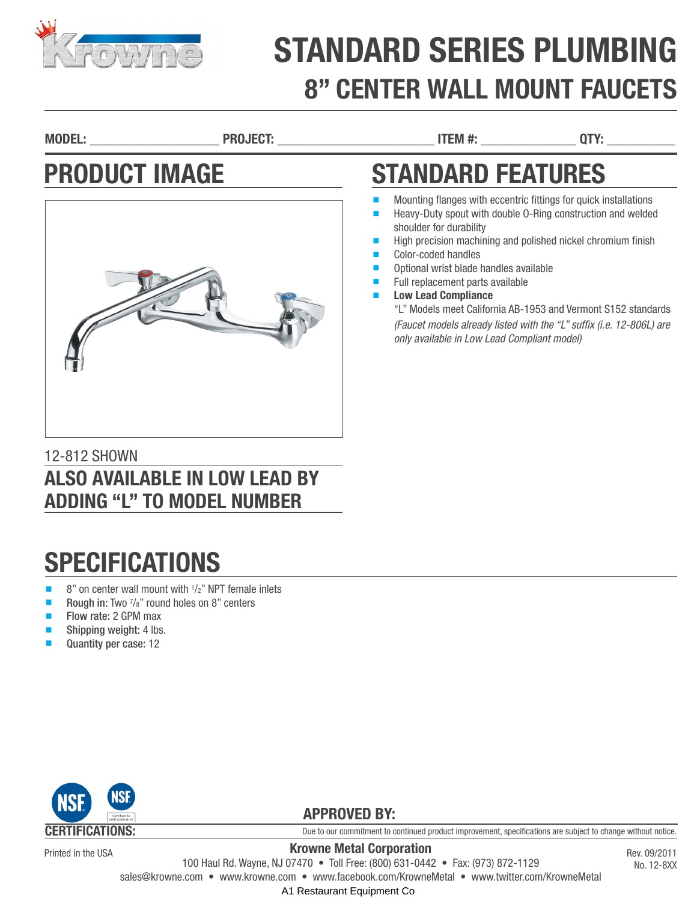

# STANDARD SERIES PLUMBING 8" CENTER WALL MOUNT FAUCETS

MODEL: \_\_\_\_\_\_\_\_\_\_\_\_\_\_\_\_\_\_\_ PROJECT: \_\_\_\_\_\_\_\_\_\_\_\_\_\_\_\_\_\_\_\_\_\_\_ ITEM #: \_\_\_\_\_\_\_\_\_\_\_\_\_\_ QTY: \_\_\_\_\_\_\_\_\_\_

### PRODUCT IMAGE



#### 12-812 SHOWN ALSO AVAILABLE IN LOW LEAD BY ADDING "L" TO MODEL NUMBER

# **SPECIFICATIONS**

- $\blacksquare$  8" on center wall mount with  $\frac{1}{2}$ " NPT female inlets
- Rough in: Two  $\frac{7}{8}$ " round holes on 8" centers
- Flow rate: 2 GPM max
- Shipping weight: 4 lbs.
- Quantity per case: 12



Printed in the USA

Due to our commitment to continued product improvement, specifications are subject to change without notice.

Rev. 09/2011 No. 12-8XX

Krowne Metal Corporation

100 Haul Rd. Wayne, NJ 07470 • Toll Free: (800) 631-0442 • Fax: (973) 872-1129

sales@krowne.com • www.krowne.com • www.facebook.com/KrowneMetal • www.twitter.com/KrowneMetal

A1 Restaurant Equipment Co.

# STANDARD FEATURES

- Mounting flanges with eccentric fittings for quick installations
- Heavy-Duty spout with double 0-Ring construction and welded shoulder for durability
- High precision machining and polished nickel chromium finish
- Color-coded handles
- Optional wrist blade handles available
- Full replacement parts available
- **Low Lead Compliance** 
	- "L" Models meet California AB-1953 and Vermont S152 standards *(Faucet models already listed with the "L" suffix (i.e. 12-806L) are only available in Low Lead Compliant model)*